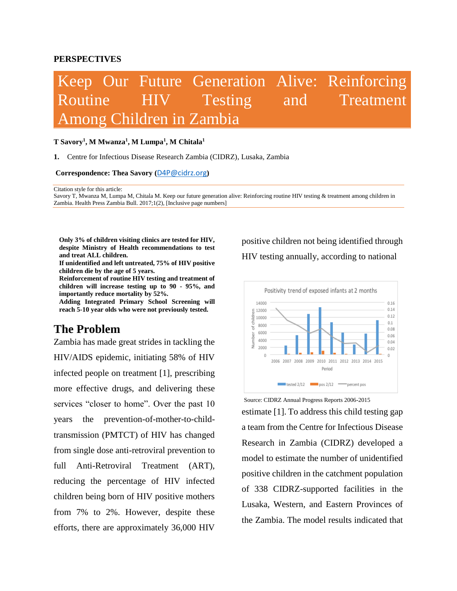#### **PERSPECTIVES**

# Keep Our Future Generation Alive: Reinforcing Routine HIV Testing and Treatment Among Children in Zambia

#### **T Savory<sup>1</sup> , M Mwanza<sup>1</sup> , M Lumpa<sup>1</sup> , M Chitala<sup>1</sup>**

**1.** Centre for Infectious Disease Research Zambia (CIDRZ), Lusaka, Zambia

#### **Correspondence: Thea Savory (**[D4P@cidrz.org](mailto:D4P@cidrz.org)**)**

Citation style for this article:

Savory T, Mwanza M, Lumpa M, Chitala M. Keep our future generation alive: Reinforcing routine HIV testing & treatment among children in Zambia. Health Press Zambia Bull. 2017;1(2), [Inclusive page numbers]

**Only 3% of children visiting clinics are tested for HIV, despite Ministry of Health recommendations to test and treat ALL children.**

**If unidentified and left untreated, 75% of HIV positive children die by the age of 5 years.**

**Reinforcement of routine HIV testing and treatment of children will increase testing up to 90 - 95%, and importantly reduce mortality by 52%.**

**Adding Integrated Primary School Screening will reach 5-10 year olds who were not previously tested.**

## **The Problem**

Zambia has made great strides in tackling the HIV/AIDS epidemic, initiating 58% of HIV infected people on treatment [1], prescribing more effective drugs, and delivering these services "closer to home". Over the past 10 years the prevention-of-mother-to-childtransmission (PMTCT) of HIV has changed from single dose anti-retroviral prevention to full Anti-Retroviral Treatment (ART), reducing the percentage of HIV infected children being born of HIV positive mothers from 7% to 2%. However, despite these efforts, there are approximately 36,000 HIV

positive children not being identified through HIV testing annually, according to national



Source: CIDRZ Annual Progress Reports 2006-2015

estimate [1]. To address this child testing gap a team from the Centre for Infectious Disease Research in Zambia (CIDRZ) developed a model to estimate the number of unidentified positive children in the catchment population of 338 CIDRZ-supported facilities in the Lusaka, Western, and Eastern Provinces of the Zambia. The model results indicated that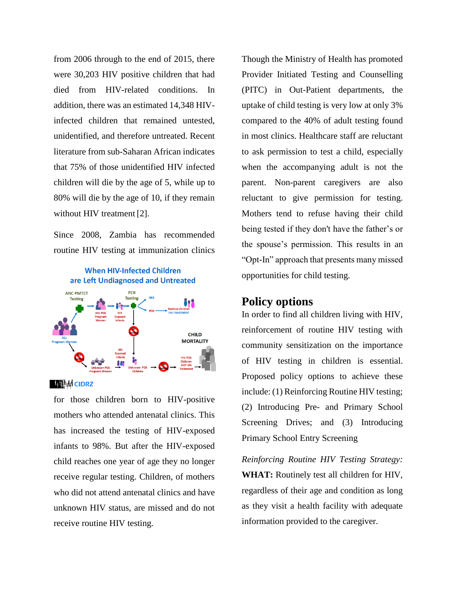from 2006 through to the end of 2015, there were 30,203 HIV positive children that had died from HIV-related conditions. In addition, there was an estimated 14,348 HIVinfected children that remained untested, unidentified, and therefore untreated. Recent literature from sub-Saharan African indicates that 75% of those unidentified HIV infected children will die by the age of 5, while up to 80% will die by the age of 10, if they remain without HIV treatment [2].

Since 2008, Zambia has recommended routine HIV testing at immunization clinics





**Wikid CIDRZ** 

for those children born to HIV-positive mothers who attended antenatal clinics. This has increased the testing of HIV-exposed infants to 98%. But after the HIV-exposed child reaches one year of age they no longer receive regular testing. Children, of mothers who did not attend antenatal clinics and have unknown HIV status, are missed and do not receive routine HIV testing.

Though the Ministry of Health has promoted Provider Initiated Testing and Counselling (PITC) in Out-Patient departments, the uptake of child testing is very low at only 3% compared to the 40% of adult testing found in most clinics. Healthcare staff are reluctant to ask permission to test a child, especially when the accompanying adult is not the parent. Non-parent caregivers are also reluctant to give permission for testing. Mothers tend to refuse having their child being tested if they don't have the father's or the spouse's permission. This results in an "Opt-In" approach that presents many missed opportunities for child testing.

### **Policy options**

In order to find all children living with HIV, reinforcement of routine HIV testing with community sensitization on the importance of HIV testing in children is essential. Proposed policy options to achieve these include: (1) Reinforcing Routine HIV testing; (2) Introducing Pre- and Primary School Screening Drives; and (3) Introducing Primary School Entry Screening

*Reinforcing Routine HIV Testing Strategy:* **WHAT:** Routinely test all children for HIV, regardless of their age and condition as long as they visit a health facility with adequate information provided to the caregiver.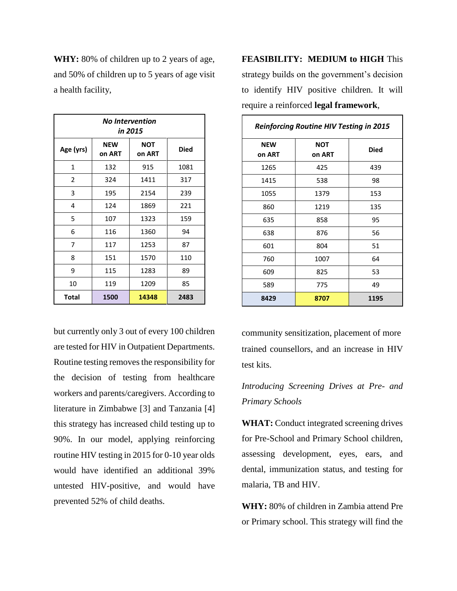**WHY:** 80% of children up to 2 years of age, and 50% of children up to 5 years of age visit a health facility,

| <b>No Intervention</b><br>in 2015 |                      |                      |             |  |  |
|-----------------------------------|----------------------|----------------------|-------------|--|--|
| Age (yrs)                         | <b>NEW</b><br>on ART | <b>NOT</b><br>on ART | <b>Died</b> |  |  |
| 1                                 | 132                  | 915                  | 1081        |  |  |
| $\overline{2}$                    | 324                  | 1411                 | 317         |  |  |
| 3                                 | 195                  | 2154                 | 239         |  |  |
| 4                                 | 124                  | 1869                 | 221         |  |  |
| 5                                 | 107                  | 1323                 | 159         |  |  |
| 6                                 | 116                  | 1360                 | 94          |  |  |
| 7                                 | 117                  | 1253                 | 87          |  |  |
| 8                                 | 151                  | 1570                 | 110         |  |  |
| 9                                 | 115                  | 1283                 | 89          |  |  |
| 10                                | 119                  | 1209                 | 85          |  |  |
| <b>Total</b>                      | 1500                 | 14348                | 2483        |  |  |

but currently only 3 out of every 100 children are tested for HIV in Outpatient Departments. Routine testing removes the responsibility for the decision of testing from healthcare workers and parents/caregivers. According to literature in Zimbabwe [3] and Tanzania [4] this strategy has increased child testing up to 90%. In our model, applying reinforcing routine HIV testing in 2015 for 0-10 year olds would have identified an additional 39% untested HIV-positive, and would have prevented 52% of child deaths.

**FEASIBILITY: MEDIUM to HIGH** This strategy builds on the government's decision to identify HIV positive children. It will require a reinforced **legal framework**,

| <b>Reinforcing Routine HIV Testing in 2015</b> |                      |             |  |  |  |
|------------------------------------------------|----------------------|-------------|--|--|--|
| <b>NEW</b><br>on ART                           | <b>NOT</b><br>on ART | <b>Died</b> |  |  |  |
| 1265                                           | 425                  | 439         |  |  |  |
| 1415                                           | 538                  | 98          |  |  |  |
| 1055                                           | 1379                 | 153         |  |  |  |
| 860                                            | 1219                 | 135         |  |  |  |
| 635                                            | 858                  | 95          |  |  |  |
| 638                                            | 876                  | 56          |  |  |  |
| 601                                            | 804                  | 51          |  |  |  |
| 760                                            | 1007                 | 64          |  |  |  |
| 609                                            | 825                  | 53          |  |  |  |
| 589                                            | 775                  | 49          |  |  |  |
| 8429                                           | 8707                 | 1195        |  |  |  |

community sensitization, placement of more trained counsellors, and an increase in HIV test kits.

# *Introducing Screening Drives at Pre- and Primary Schools*

**WHAT:** Conduct integrated screening drives for Pre-School and Primary School children, assessing development, eyes, ears, and dental, immunization status, and testing for malaria, TB and HIV.

**WHY:** 80% of children in Zambia attend Pre or Primary school. This strategy will find the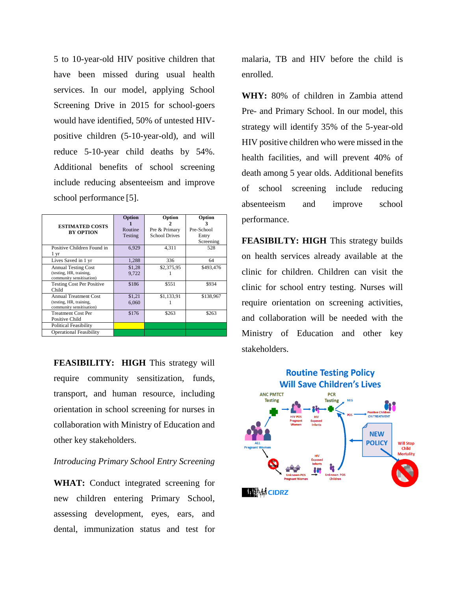5 to 10-year-old HIV positive children that have been missed during usual health services. In our model, applying School Screening Drive in 2015 for school-goers would have identified, 50% of untested HIVpositive children (5-10-year-old), and will reduce 5-10-year child deaths by 54%. Additional benefits of school screening include reducing absenteeism and improve school performance [5].

| <b>ESTIMATED COSTS</b><br><b>BY OPTION</b>                                          | Option<br>Routine<br>Testing | Option<br>Pre & Primary<br><b>School Drives</b> | Option<br>Pre-School<br>Entry<br>Screening |
|-------------------------------------------------------------------------------------|------------------------------|-------------------------------------------------|--------------------------------------------|
| Positive Children Found in<br>1 yr                                                  | 6,929                        | 4.311                                           | 528                                        |
| Lives Saved in 1 yr                                                                 | 1,288                        | 336                                             | 64                                         |
| <b>Annual Testing Cost</b><br>(testing, HR, training,<br>community sensitisation)   | \$1,28<br>9,722              | \$2,375,95                                      | \$493,476                                  |
| <b>Testing Cost Per Positive</b><br>Child                                           | \$186                        | \$551                                           | \$934                                      |
| <b>Annual Treatment Cost</b><br>(testing, HR, training,<br>community sensitisation) | \$1,21<br>6,060              | \$1,133,91                                      | \$138,967                                  |
| <b>Treatment Cost Per</b><br>Positive Child                                         | \$176                        | \$263                                           | \$263                                      |
| Political Feasibility<br><b>Operational Feasibility</b>                             |                              |                                                 |                                            |

**FEASIBILITY: HIGH** This strategy will require community sensitization, funds, transport, and human resource, including orientation in school screening for nurses in collaboration with Ministry of Education and other key stakeholders.

#### *Introducing Primary School Entry Screening*

**WHAT:** Conduct integrated screening for new children entering Primary School, assessing development, eyes, ears, and dental, immunization status and test for

malaria, TB and HIV before the child is enrolled.

**WHY:** 80% of children in Zambia attend Pre- and Primary School. In our model, this strategy will identify 35% of the 5-year-old HIV positive children who were missed in the health facilities, and will prevent 40% of death among 5 year olds. Additional benefits of school screening include reducing absenteeism and improve school performance.

**FEASIBILTY: HIGH** This strategy builds on health services already available at the clinic for children. Children can visit the clinic for school entry testing. Nurses will require orientation on screening activities, and collaboration will be needed with the Ministry of Education and other key stakeholders.

### **Routine Testing Policy Will Save Children's Lives**